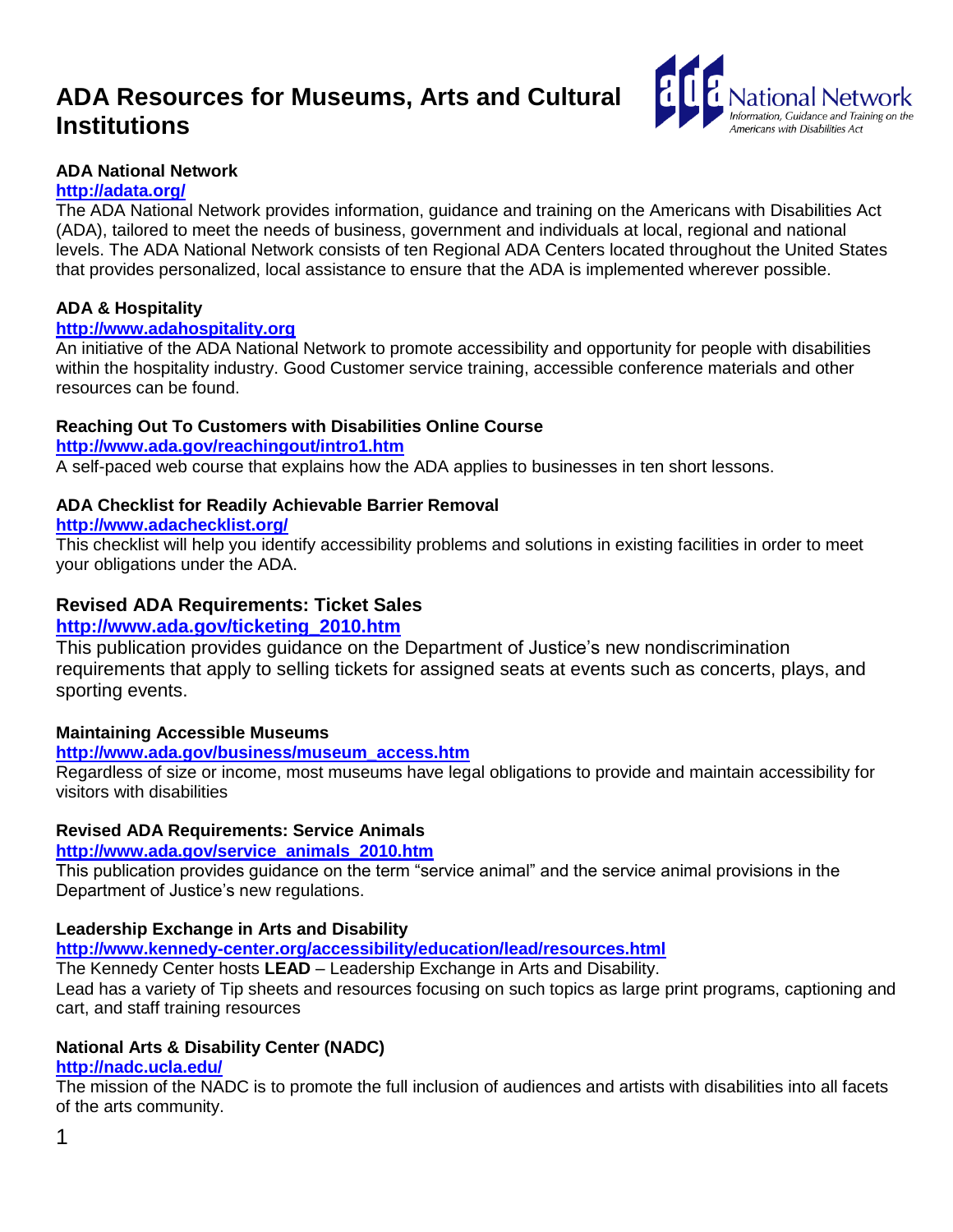# **ADA Resources for Museums, Arts and Cultural Institutions**



# **ADA National Network**

# **<http://adata.org/>**

The ADA National Network provides information, guidance and training on the Americans with Disabilities Act (ADA), tailored to meet the needs of business, government and individuals at local, regional and national levels. The ADA National Network consists of ten Regional ADA Centers located throughout the United States that provides personalized, local assistance to ensure that the ADA is implemented wherever possible.

# **ADA & Hospitality**

# **[http://www.adahospitality.org](http://www.adahospitality.org/)**

An initiative of the ADA National Network to promote accessibility and opportunity for people with disabilities within the hospitality industry. Good Customer service training, accessible conference materials and other resources can be found.

# **Reaching Out To Customers with Disabilities Online Course**

#### **<http://www.ada.gov/reachingout/intro1.htm>**

A self-paced web course that explains how the ADA applies to businesses in ten short lessons.

# **ADA Checklist for Readily Achievable Barrier Removal**

# **<http://www.adachecklist.org/>**

This checklist will help you identify accessibility problems and solutions in existing facilities in order to meet your obligations under the ADA.

# **Revised ADA Requirements: Ticket Sales**

# **[http://www.ada.gov/ticketing\\_2010.htm](http://www.ada.gov/ticketing_2010.htm)**

This publication provides guidance on the Department of Justice's new nondiscrimination requirements that apply to selling tickets for assigned seats at events such as concerts, plays, and sporting events.

# **Maintaining Accessible Museums**

# **[http://www.ada.gov/business/museum\\_access.htm](http://www.ada.gov/business/museum_access.htm)**

Regardless of size or income, most museums have legal obligations to provide and maintain accessibility for visitors with disabilities

# **Revised ADA Requirements: Service Animals**

# **[http://www.ada.gov/service\\_animals\\_2010.htm](http://www.ada.gov/service_animals_2010.htm)**

This publication provides guidance on the term "service animal" and the service animal provisions in the Department of Justice's new regulations.

# **Leadership Exchange in Arts and Disability**

**<http://www.kennedy-center.org/accessibility/education/lead/resources.html>**

The Kennedy Center hosts **LEAD** – Leadership Exchange in Arts and Disability.

Lead has a variety of Tip sheets and resources focusing on such topics as large print programs, captioning and cart, and staff training resources

# **National Arts & Disability Center (NADC)**

# **<http://nadc.ucla.edu/>**

The mission of the NADC is to promote the full inclusion of audiences and artists with disabilities into all facets of the arts community.